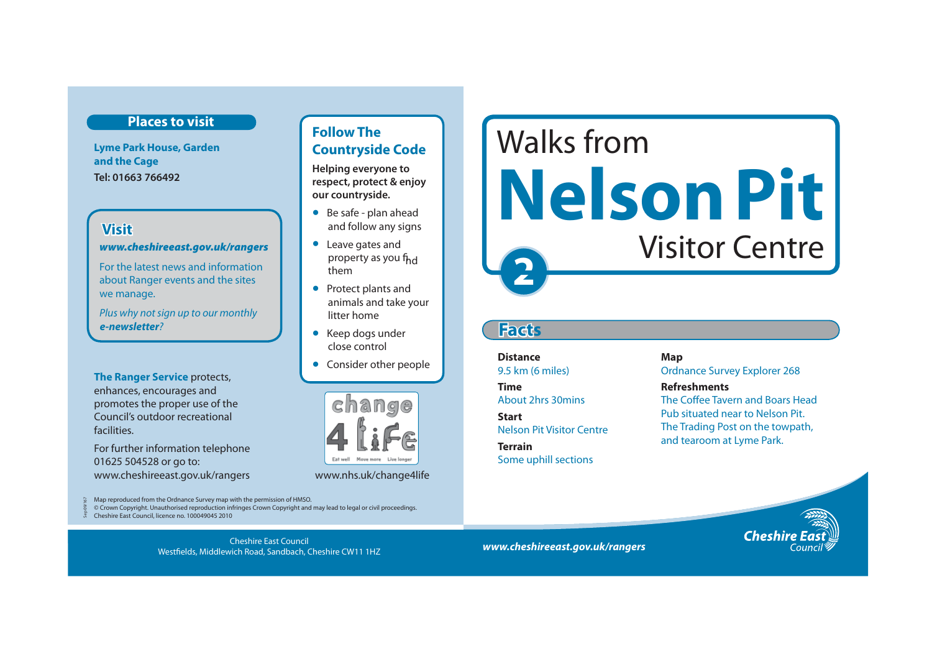# **Places to visit**

**Lyme Park House, Garden and the Cage Tel: 01663 766492** 

# **Visit**

Sep 09/167

*www.cheshireeast.gov.uk/rangers* 

For the latest news and information about Ranger events and the sites we manage.

Plus why not sign up to our monthly *e-newsletter*?

**The Ranger Service** protects, enhances, encourages and promotes the proper use of the Council's outdoor recreational facilities.

For further information telephone 01625 504528 or go to: www.cheshireeast.gov.uk/rangers www.nhs.uk/change4life

Map reproduced from the Ordnance Survey map with the permission of HMSO. © Crown Copyright. Unauthorised reproduction infringes Crown Copyright and may lead to legal or civil proceedings.

 $\frac{1}{26}$  Cheshire East Council, licence no. 100049045 2010

*www.cheshireeast.gov.uk/rangers* Cheshire East Council Westfields, Middlewich Road, Sandbach, Cheshire CW11 1HZ

# **Follow The Countryside Code**

**Helping everyone to respect, protect & enjoy our countryside.**

- Be safe plan ahead and follow any signs
- Leave gates and property as you fh<sub>d</sub> them
- Protect plants and animals and take your litter home
- Keep dogs under close control
- Consider other people



# **2** Walks from **Nelson Pit**  Visitor Centre

# **Facts**

**Distance** Map 9.5 km (6 miles) Ordnance Survey Explorer 268 **Time** Refreshments and tearoom at Lyme Park. **Terrain** Some uphill sections

About 2hrs 30mins The Coffee Tavern and Boars Head Pub situated near to Nelson Pit. **Start** Nelson Pit Visitor Centre The Trading Post on the towpath,

Cheshi

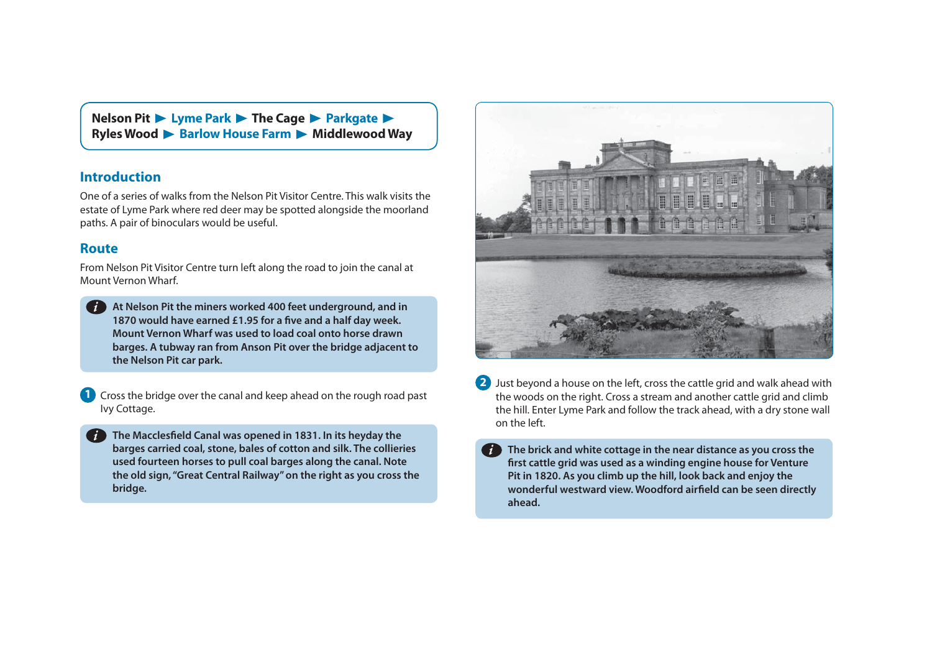**Nelson Pit ► Lyme Park ► The Cage ► Parkgate ► Ryles Wood D** Barlow House Farm D Middlewood Way

## **Introduction**

One of a series of walks from the Nelson Pit Visitor Centre. This walk visits the estate of Lyme Park where red deer may be spotted alongside the moorland paths. A pair of binoculars would be useful.

### **Route**

From Nelson Pit Visitor Centre turn left along the road to join the canal at Mount Vernon Wharf.

**At Nelson Pit the miners worked 400 feet underground, and in**  *i***1870 would have earned £1.95 for a five and a half day week. Mount Vernon Wharf was used to load coal onto horse drawn barges. A tubway ran from Anson Pit over the bridge adjacent to the Nelson Pit car park.** 

**1** Cross the bridge over the canal and keep ahead on the rough road past Ivy Cottage.

**The Macclesfield Canal was opened in 1831. In its heyday the barges carried coal, stone, bales of cotton and silk. The collieries used fourteen horses to pull coal barges along the canal. Note the old sign, "Great Central Railway" on the right as you cross the bridge.** 



- **<sup>2</sup>**Just beyond a house on the left, cross the cattle grid and walk ahead with the woods on the right. Cross a stream and another cattle grid and climb the hill. Enter Lyme Park and follow the track ahead, with a dry stone wall on the left.
	- **The brick and white cottage in the near distance as you cross the first cattle grid was used as a winding engine house for Venture Pit in 1820. As you climb up the hill, look back and enjoy the wonderful westward view. Woodford airfield can be seen directly ahead.**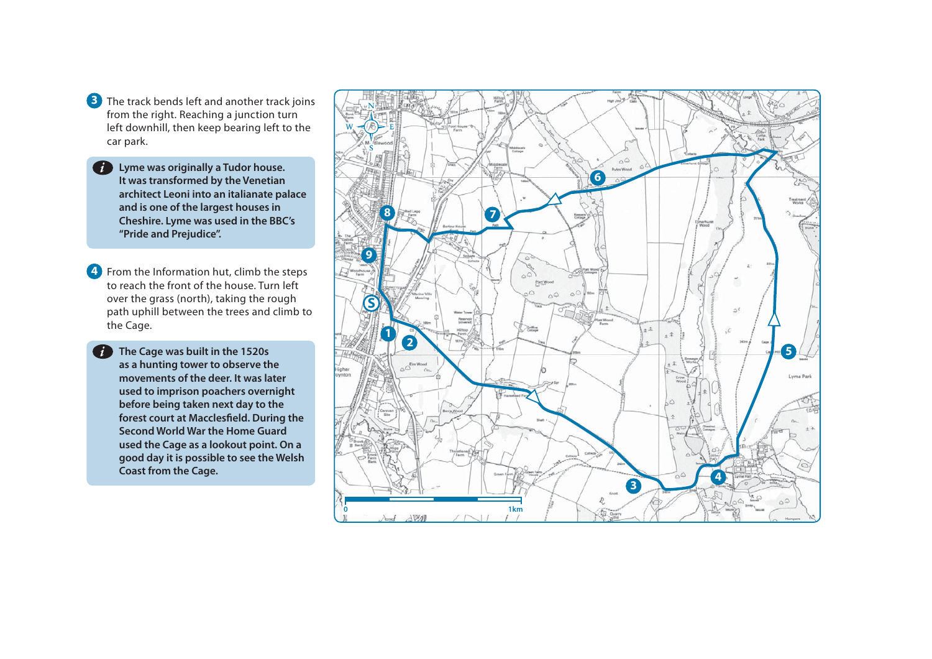- **3** The track bends left and another track joins from the right. Reaching a junction turn left downhill, then keep bearing left to the car park.
	- **Lyme was originally a Tudor house.**  *i***It was transformed by the Venetian architect Leoni into an italianate palace and is one of the largest houses in Cheshire. Lyme was used in the BBC's "Pride and Prejudice".**
- **4** From the Information hut, climb the steps to reach the front of the house. Turn left over the grass (north), taking the rough path uphill between the trees and climb to the Cage.
	- **The Cage was built in the 1520s as a hunting tower to observe the movements of the deer. It was later used to imprison poachers overnight before being taken next day to the forest court at Macclesfield. During the Second World War the Home Guard used the Cage as a lookout point. On a good day it is possible to see the Welsh Coast from the Cage.**